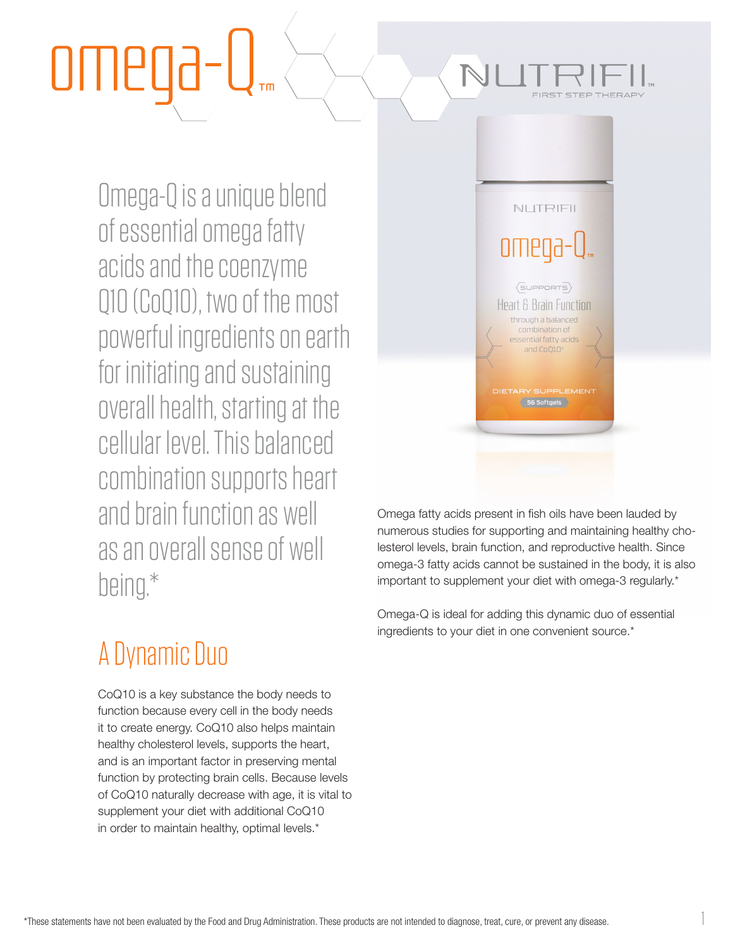Omega-Q is a unique blend of essential omega fatty acids and the coenzyme Q10 (CoQ10), two of the most powerful ingredients on earth for initiating and sustaining overall health, starting at the cellular level. This balanced combination supports heart and brain function as well as an overall sense of well being.\*

### A Dynamic Duo

CoQ10 is a key substance the body needs to function because every cell in the body needs it to create energy. CoQ10 also helps maintain healthy cholesterol levels, supports the heart, and is an important factor in preserving mental function by protecting brain cells. Because levels of CoQ10 naturally decrease with age, it is vital to supplement your diet with additional CoQ10 in order to maintain healthy, optimal levels.\*



Omega fatty acids present in fish oils have been lauded by numerous studies for supporting and maintaining healthy cholesterol levels, brain function, and reproductive health. Since omega-3 fatty acids cannot be sustained in the body, it is also important to supplement your diet with omega-3 regularly.\*

Omega-Q is ideal for adding this dynamic duo of essential ingredients to your diet in one convenient source.\*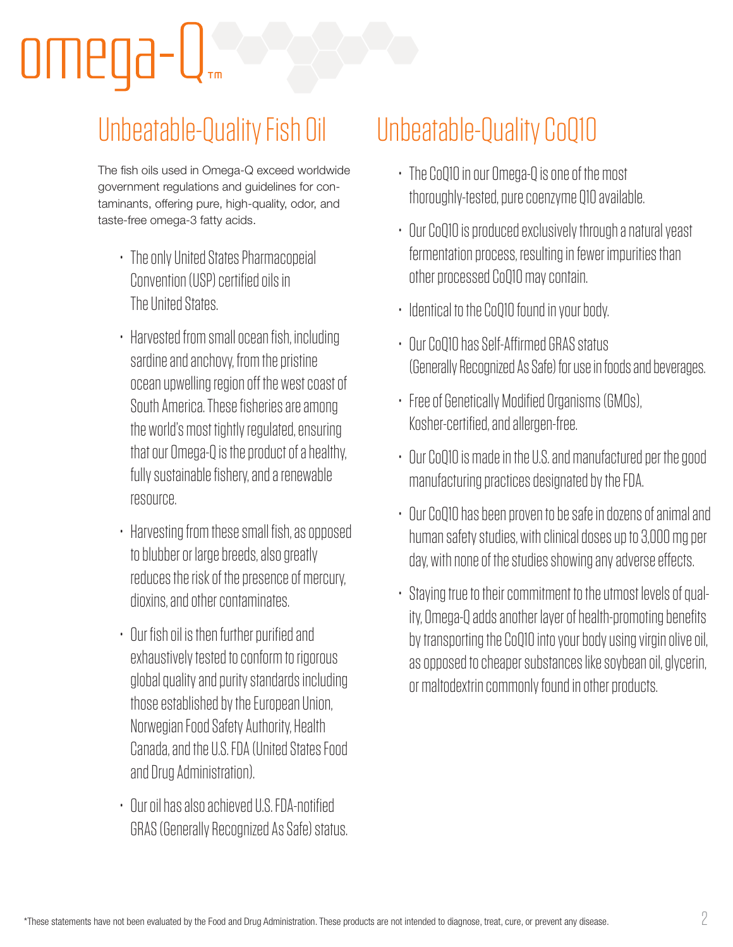# omega

### Unbeatable-Quality Fish Oil

The fish oils used in Omega-Q exceed worldwide government regulations and guidelines for contaminants, offering pure, high-quality, odor, and taste-free omega-3 fatty acids.

- The only United States Pharmacopeial Convention (USP) certified oils in The United States.
- Harvested from small ocean fish, including sardine and anchovy, from the pristine ocean upwelling region off the west coast of South America. These fisheries are among the world's most tightly regulated, ensuring that our Omega-Q is the product of a healthy, fully sustainable fishery, and a renewable resource.
- Harvesting from these small fish, as opposed to blubber or large breeds, also greatly reduces the risk of the presence of mercury, dioxins, and other contaminates.
- Our fish oil is then further purified and exhaustively tested to conform to rigorous global quality and purity standards including those established by the European Union, Norwegian Food Safety Authority, Health Canada, and the U.S. FDA (United States Food and Drug Administration).
- Our oil has also achieved U.S. FDA-notified GRAS (Generally Recognized As Safe) status.

### Unbeatable-Quality CoQ10

- The CoQ10 in our Omega-Q is one of the most thoroughly-tested, pure coenzyme Q10 available.
- Our CoQ10 is produced exclusively through a natural yeast fermentation process, resulting in fewer impurities than other processed CoQ10 may contain.
- Identical to the CoQ10 found in your body.
- Our CoQ10 has Self-Affirmed GRAS status (Generally Recognized As Safe) for use in foods and beverages.
- Free of Genetically Modified Organisms (GMOs), Kosher-certified, and allergen-free.
- Our CoQ10 is made in the U.S. and manufactured per the good manufacturing practices designated by the FDA.
- Our CoQ10 has been proven to be safe in dozens of animal and human safety studies, with clinical doses up to 3,000 mg per day, with none of the studies showing any adverse effects.
- Staying true to their commitment to the utmost levels of quality, Omega-Q adds another layer of health-promoting benefits by transporting the CoQ10 into your body using virgin olive oil, as opposed to cheaper substances like soybean oil, glycerin, or maltodextrin commonly found in other products.